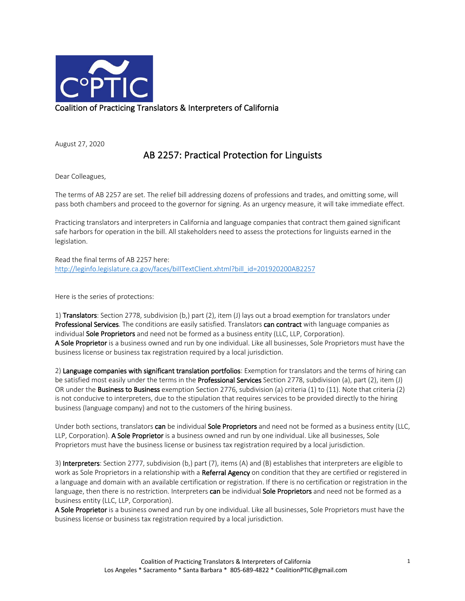

August 27, 2020

## AB 2257: Practical Protection for Linguists

Dear Colleagues,

The terms of AB 2257 are set. The relief bill addressing dozens of professions and trades, and omitting some, will pass both chambers and proceed to the governor for signing. As an urgency measure, it will take immediate effect.

Practicing translators and interpreters in California and language companies that contract them gained significant safe harbors for operation in the bill. All stakeholders need to assess the protections for linguists earned in the legislation.

Read the final terms of AB 2257 here: http://leginfo.legislature.ca.gov/faces/billTextClient.xhtml?bill\_id=201920200AB2257

Here is the series of protections:

1) Translators: Section 2778, subdivision (b,) part (2), item (J) lays out a broad exemption for translators under Professional Services. The conditions are easily satisfied. Translators can contract with language companies as individual Sole Proprietors and need not be formed as a business entity (LLC, LLP, Corporation). A Sole Proprietor is a business owned and run by one individual. Like all businesses, Sole Proprietors must have the business license or business tax registration required by a local jurisdiction.

2) Language companies with significant translation portfolios: Exemption for translators and the terms of hiring can be satisfied most easily under the terms in the **Professional Services** Section 2778, subdivision (a), part (2), item (J) OR under the Business to Business exemption Section 2776, subdivision (a) criteria (1) to (11). Note that criteria (2) is not conducive to interpreters, due to the stipulation that requires services to be provided directly to the hiring business (language company) and not to the customers of the hiring business.

Under both sections, translators can be individual Sole Proprietors and need not be formed as a business entity (LLC, LLP, Corporation). A Sole Proprietor is a business owned and run by one individual. Like all businesses, Sole Proprietors must have the business license or business tax registration required by a local jurisdiction.

3) Interpreters: Section 2777, subdivision (b,) part (7), items (A) and (B) establishes that interpreters are eligible to work as Sole Proprietors in a relationship with a Referral Agency on condition that they are certified or registered in a language and domain with an available certification or registration. If there is no certification or registration in the language, then there is no restriction. Interpreters can be individual Sole Proprietors and need not be formed as a business entity (LLC, LLP, Corporation).

A Sole Proprietor is a business owned and run by one individual. Like all businesses, Sole Proprietors must have the business license or business tax registration required by a local jurisdiction.